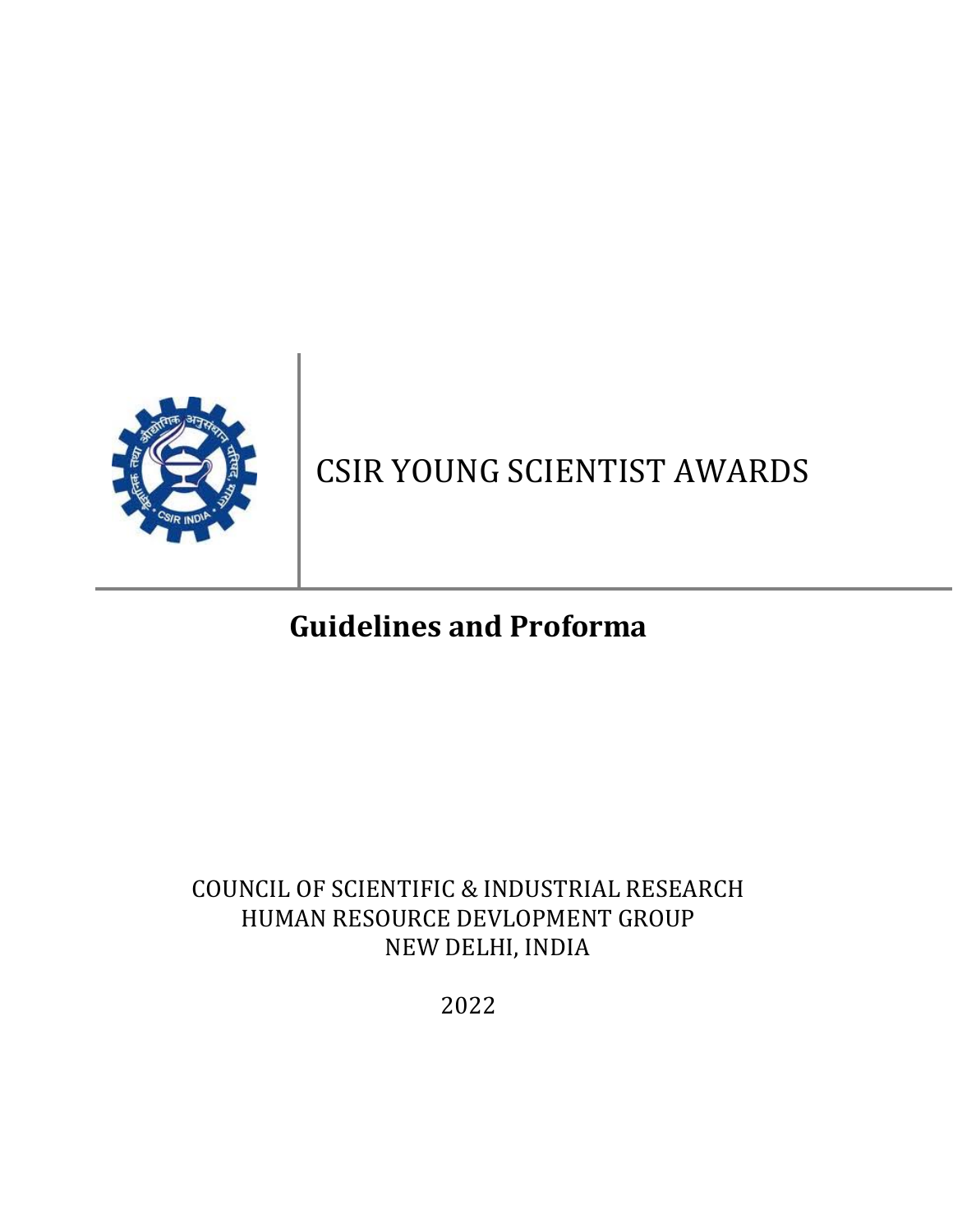

# CSIR YOUNG SCIENTIST AWARDS

# **Guidelines and Proforma**

# COUNCIL OF SCIENTIFIC & INDUSTRIAL RESEARCH HUMAN RESOURCE DEVLOPMENT GROUP NEW DELHI, INDIA

2022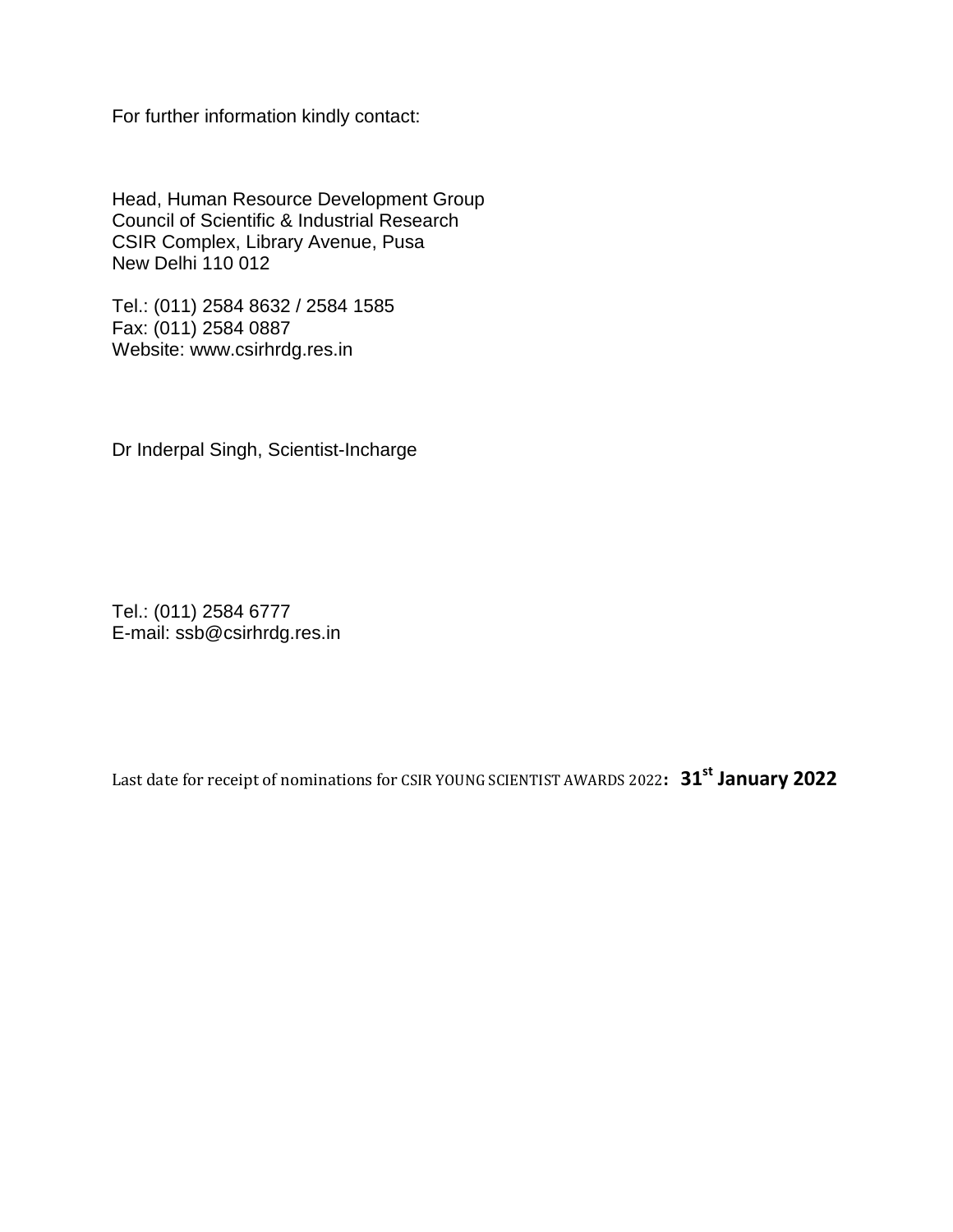For further information kindly contact:

Head, Human Resource Development Group Council of Scientific & Industrial Research CSIR Complex, Library Avenue, Pusa New Delhi 110 012

Tel.: (011) 2584 8632 / 2584 1585 Fax: (011) 2584 0887 Website: www.csirhrdg.res.in

Dr Inderpal Singh, Scientist-Incharge

Tel.: (011) 2584 6777 E-mail: ssb@csirhrdg.res.in

Last date for receipt of nominations for CSIR YOUNG SCIENTIST AWARDS 2022**: 31st January 2022**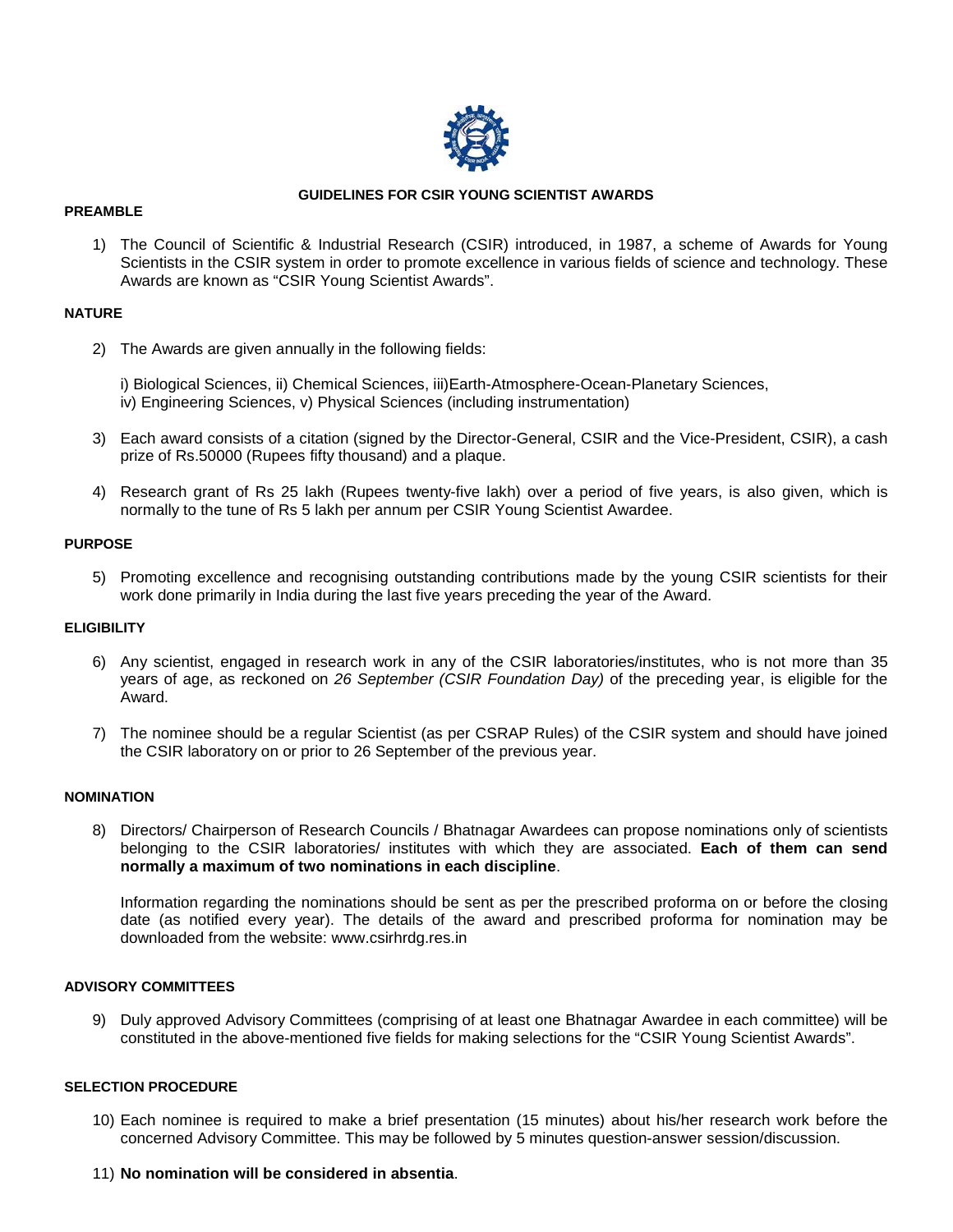

## **GUIDELINES FOR CSIR YOUNG SCIENTIST AWARDS**

#### **PREAMBLE**

1) The Council of Scientific & Industrial Research (CSIR) introduced, in 1987, a scheme of Awards for Young Scientists in the CSIR system in order to promote excellence in various fields of science and technology. These Awards are known as "CSIR Young Scientist Awards".

# **NATURE**

2) The Awards are given annually in the following fields:

i) Biological Sciences, ii) Chemical Sciences, iii)Earth-Atmosphere-Ocean-Planetary Sciences, iv) Engineering Sciences, v) Physical Sciences (including instrumentation)

- 3) Each award consists of a citation (signed by the Director-General, CSIR and the Vice-President, CSIR), a cash prize of Rs.50000 (Rupees fifty thousand) and a plaque.
- 4) Research grant of Rs 25 lakh (Rupees twenty-five lakh) over a period of five years, is also given, which is normally to the tune of Rs 5 lakh per annum per CSIR Young Scientist Awardee.

### **PURPOSE**

5) Promoting excellence and recognising outstanding contributions made by the young CSIR scientists for their work done primarily in India during the last five years preceding the year of the Award.

# **ELIGIBILITY**

- 6) Any scientist, engaged in research work in any of the CSIR laboratories/institutes, who is not more than 35 years of age, as reckoned on *26 September (CSIR Foundation Day)* of the preceding year, is eligible for the Award.
- 7) The nominee should be a regular Scientist (as per CSRAP Rules) of the CSIR system and should have joined the CSIR laboratory on or prior to 26 September of the previous year.

# **NOMINATION**

8) Directors/ Chairperson of Research Councils / Bhatnagar Awardees can propose nominations only of scientists belonging to the CSIR laboratories/ institutes with which they are associated. **Each of them can send normally a maximum of two nominations in each discipline**.

Information regarding the nominations should be sent as per the prescribed proforma on or before the closing date (as notified every year). The details of the award and prescribed proforma for nomination may be downloaded from the website: www.csirhrdg.res.in

# **ADVISORY COMMITTEES**

9) Duly approved Advisory Committees (comprising of at least one Bhatnagar Awardee in each committee) will be constituted in the above-mentioned five fields for making selections for the "CSIR Young Scientist Awards".

# **SELECTION PROCEDURE**

- 10) Each nominee is required to make a brief presentation (15 minutes) about his/her research work before the concerned Advisory Committee. This may be followed by 5 minutes question-answer session/discussion.
- 11) **No nomination will be considered in absentia**.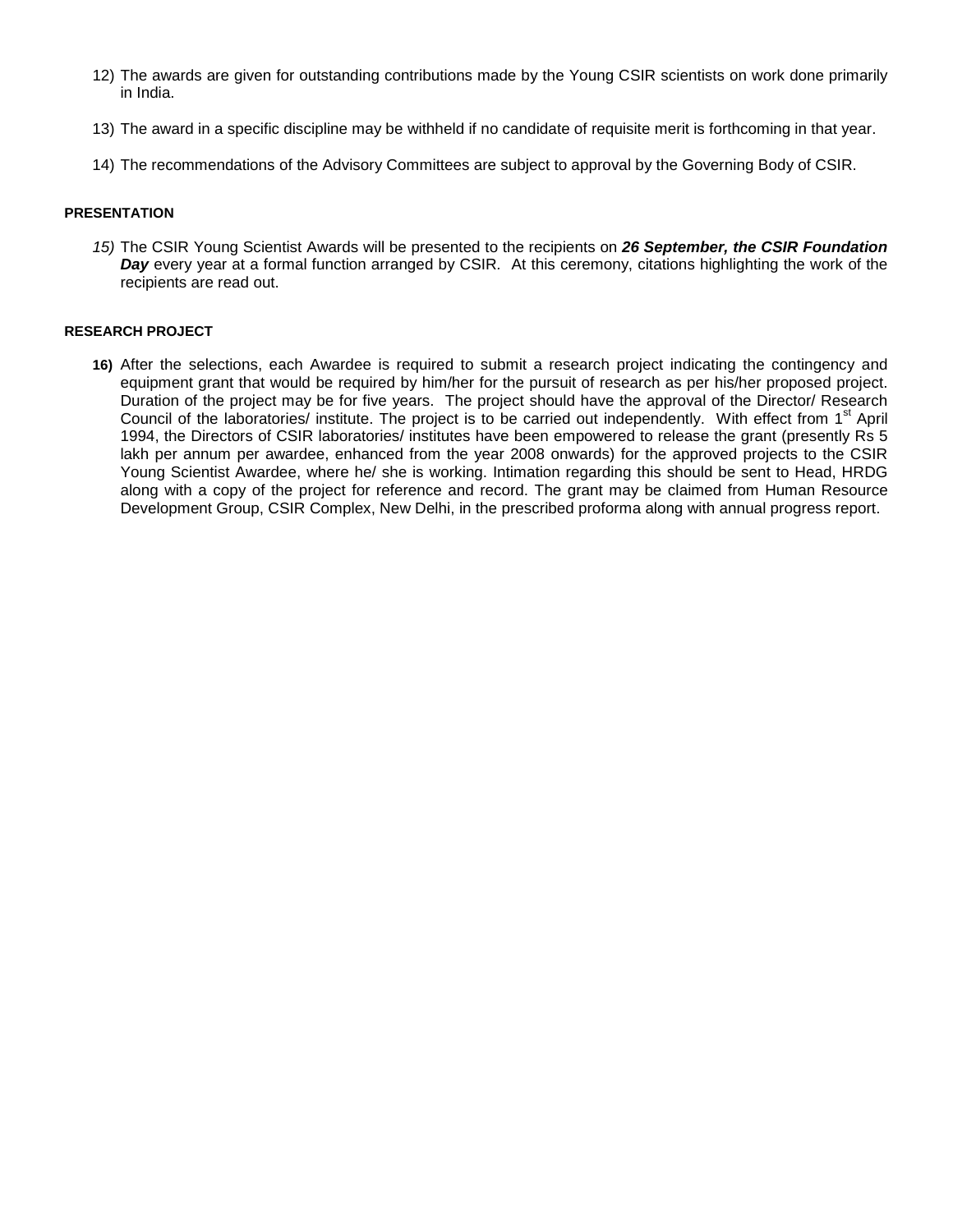- 12) The awards are given for outstanding contributions made by the Young CSIR scientists on work done primarily in India.
- 13) The award in a specific discipline may be withheld if no candidate of requisite merit is forthcoming in that year.
- 14) The recommendations of the Advisory Committees are subject to approval by the Governing Body of CSIR.

#### **PRESENTATION**

*15)* The CSIR Young Scientist Awards will be presented to the recipients on *26 September, the CSIR Foundation Day* every year at a formal function arranged by CSIR*.* At this ceremony, citations highlighting the work of the recipients are read out.

### **RESEARCH PROJECT**

**16)** After the selections, each Awardee is required to submit a research project indicating the contingency and equipment grant that would be required by him/her for the pursuit of research as per his/her proposed project. Duration of the project may be for five years. The project should have the approval of the Director/ Research Council of the laboratories/ institute. The project is to be carried out independently. With effect from 1<sup>st</sup> April 1994, the Directors of CSIR laboratories/ institutes have been empowered to release the grant (presently Rs 5 lakh per annum per awardee, enhanced from the year 2008 onwards) for the approved projects to the CSIR Young Scientist Awardee, where he/ she is working. Intimation regarding this should be sent to Head, HRDG along with a copy of the project for reference and record. The grant may be claimed from Human Resource Development Group, CSIR Complex, New Delhi, in the prescribed proforma along with annual progress report.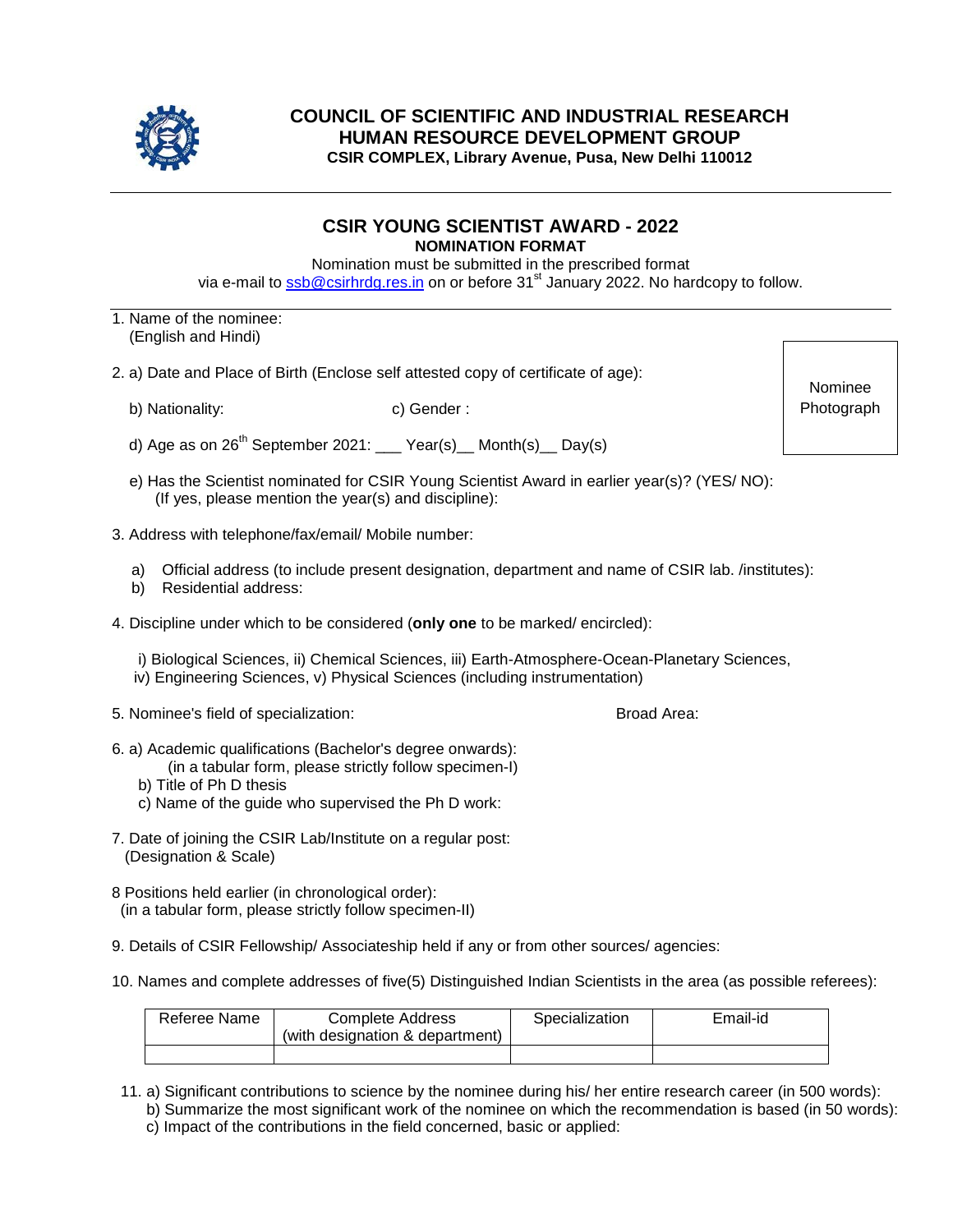

# **COUNCIL OF SCIENTIFIC AND INDUSTRIAL RESEARCH HUMAN RESOURCE DEVELOPMENT GROUP CSIR COMPLEX, Library Avenue, Pusa, New Delhi 110012**

# **CSIR YOUNG SCIENTIST AWARD - 2022 NOMINATION FORMAT**

Nomination must be submitted in the prescribed format via e-mail to [ssb@csirhrdg.res.in](mailto:ssb@csirhrdg.res.in) on or before 31<sup>st</sup> January 2022. No hardcopy to follow.

- 1. Name of the nominee: (English and Hindi)
- 2. a) Date and Place of Birth (Enclose self attested copy of certificate of age):
	- b) Nationality: c) Gender :

- d) Age as on  $26<sup>th</sup>$  September 2021: \_\_\_ Year(s) \_\_ Month(s) \_\_ Day(s)
- e) Has the Scientist nominated for CSIR Young Scientist Award in earlier year(s)? (YES/ NO): (If yes, please mention the year(s) and discipline):
- 3. Address with telephone/fax/email/ Mobile number:
	- a) Official address (to include present designation, department and name of CSIR lab. /institutes):
	- b) Residential address:
- 4. Discipline under which to be considered (**only one** to be marked/ encircled):
	- i) Biological Sciences, ii) Chemical Sciences, iii) Earth-Atmosphere-Ocean-Planetary Sciences, iv) Engineering Sciences, v) Physical Sciences (including instrumentation)
- 5. Nominee's field of specialization: Broad Area:
- 6. a) Academic qualifications (Bachelor's degree onwards):
	- (in a tabular form, please strictly follow specimen-I)
	- b) Title of Ph D thesis
	- c) Name of the guide who supervised the Ph D work:
- 7. Date of joining the CSIR Lab/Institute on a regular post: (Designation & Scale)
- 8 Positions held earlier (in chronological order): (in a tabular form, please strictly follow specimen-II)
- 9. Details of CSIR Fellowship/ Associateship held if any or from other sources/ agencies:
- 10. Names and complete addresses of five(5) Distinguished Indian Scientists in the area (as possible referees):

| Referee Name | Complete Address<br>(with designation & department) | Specialization | Email-id |
|--------------|-----------------------------------------------------|----------------|----------|
|              |                                                     |                |          |

- 11. a) Significant contributions to science by the nominee during his/ her entire research career (in 500 words):
	- b) Summarize the most significant work of the nominee on which the recommendation is based (in 50 words): c) Impact of the contributions in the field concerned, basic or applied:

Nominee Photograph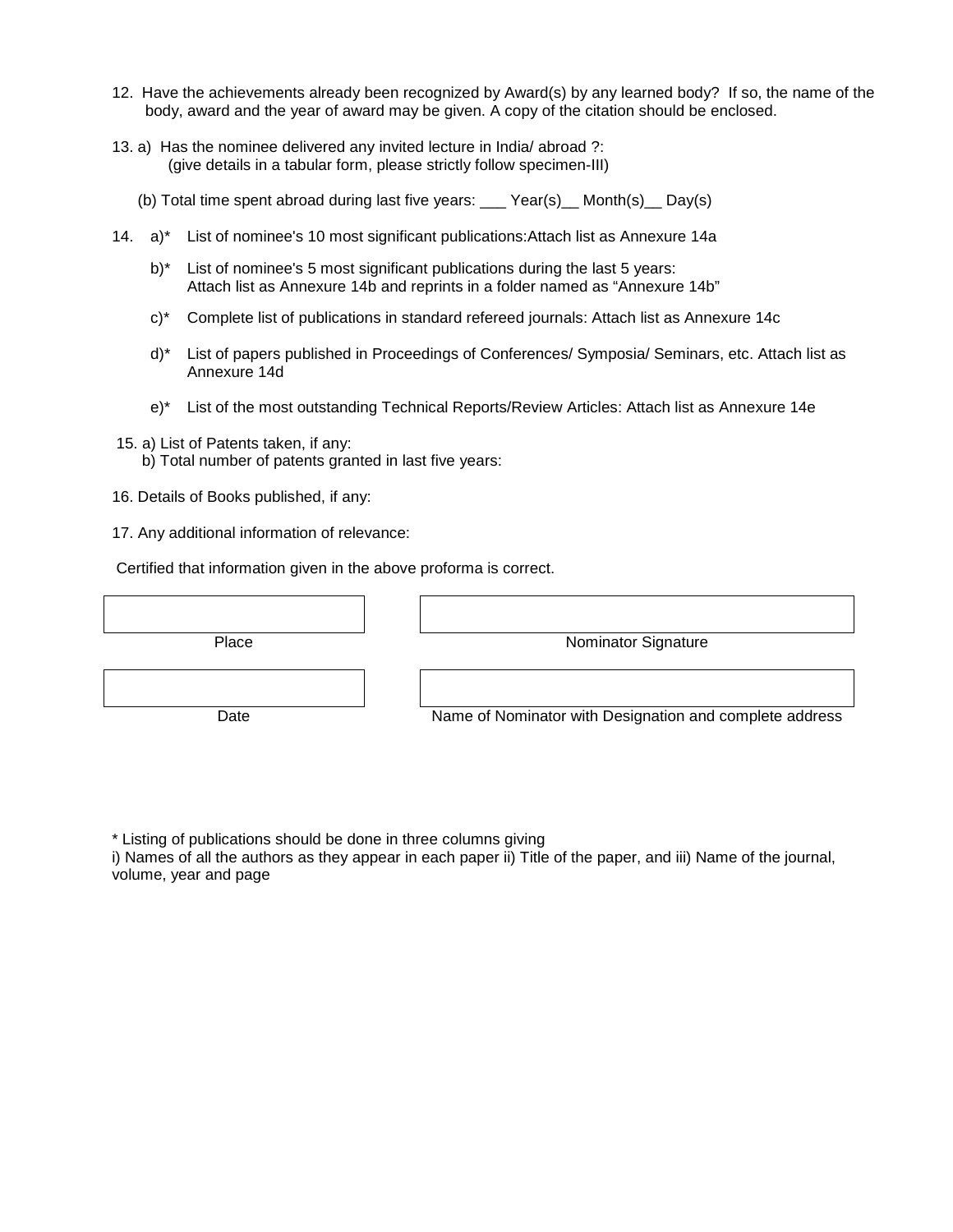- 12. Have the achievements already been recognized by Award(s) by any learned body? If so, the name of the body, award and the year of award may be given. A copy of the citation should be enclosed.
- 13. a) Has the nominee delivered any invited lecture in India/ abroad ?: (give details in a tabular form, please strictly follow specimen-III)
	- (b) Total time spent abroad during last five years:  $\qquad$  Year(s) Month(s) Day(s)
- 14. a)\* List of nominee's 10 most significant publications:Attach list as Annexure 14a
	- b)<sup>\*</sup> List of nominee's 5 most significant publications during the last 5 years: Attach list as Annexure 14b and reprints in a folder named as "Annexure 14b"
	- c)\* Complete list of publications in standard refereed journals: Attach list as Annexure 14c
	- d)\* List of papers published in Proceedings of Conferences/ Symposia/ Seminars, etc. Attach list as Annexure 14d
	- e)\* List of the most outstanding Technical Reports/Review Articles: Attach list as Annexure 14e
- 15. a) List of Patents taken, if any:
	- b) Total number of patents granted in last five years:
- 16. Details of Books published, if any:
- 17. Any additional information of relevance:

Certified that information given in the above proforma is correct.

| Place | <b>Nominator Signature</b>                              |
|-------|---------------------------------------------------------|
|       |                                                         |
|       |                                                         |
|       |                                                         |
| Date  | Name of Nominator with Designation and complete address |
|       |                                                         |

\* Listing of publications should be done in three columns giving

i) Names of all the authors as they appear in each paper ii) Title of the paper, and iii) Name of the journal, volume, year and page